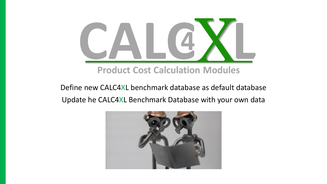

### **Product Cost Calculation Modules**

## Define new CALC4XL benchmark database as default database Update he CALC4XL Benchmark Database with your own data

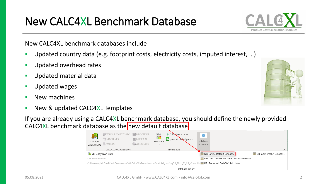## New CALC4XL Benchmark Database

New CALC4XL benchmark databases include

- Updated country data (e.g. footprint costs, electricity costs, imputed interest, …)
- Updated overhead rates
- **E** Updated material data
- Updated wages
- New machines
- New & updated CALC4XL Templates

If you are already using a CALC4XL benchmark database, you should define the newly provided CALC4XL benchmark database as the new default database.

|                                                                  | <b>1</b> TODO: PROJECT SPEC. <b>49</b> PROCESSES<br>耘<br>MACHINES<br>change<br>WAGES<br>CALC4XL DB<br>CALC4XL cost calculators          | MATERIAL<br>ACCURACY | 16<br>templates<br>$\sim$ | 第 CBDxlsm -> xlsx<br>$\mathsf{F}$ pre-calculated parts $\mathsf{v}$<br>file module | $\bullet$<br>database<br>actions |  | ↗                               |
|------------------------------------------------------------------|-----------------------------------------------------------------------------------------------------------------------------------------|----------------------|---------------------------|------------------------------------------------------------------------------------|----------------------------------|--|---------------------------------|
| <b>DB: Define Default Database</b><br><b>B</b> DB: Copy Own Data |                                                                                                                                         |                      |                           |                                                                                    |                                  |  | <b>EDB:</b> Compress A Database |
|                                                                  | <b>EDB:</b> Link Current File With Default Database<br>Connected to DB:                                                                 |                      |                           |                                                                                    |                                  |  |                                 |
|                                                                  | C:\Users\regin\OneDrive\Dokumente\00 Calc4XL\Datenbanken\calc4xl_costingDB_2021_01_25_v6.accdb <b>EFFOB: Recalc All CALC4XL Modules</b> |                      |                           |                                                                                    |                                  |  |                                 |
|                                                                  | database actions                                                                                                                        |                      |                           |                                                                                    |                                  |  |                                 |



 $\wedge$ 

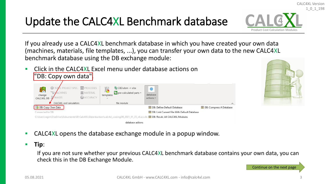# Update the CALC4XL Benchmark database

If you already use a CALC4XL benchmark database in which you have created your own data (machines, materials, file templates, ...), you can transfer your own data to the new CALC4XL benchmark database using the DB exchange module:

- Click in the CALC4XL Excel menu under database actions on "DB: Copy own data". PROJECT SPEC. <sup>9</sup> PROCESSES 鼎 CBD.xlsm -> xlsx  $\circ$ MATERIAL **E** pre-calculated parts database change templates ACCURACY CALC4XL DB actions ~ CALC4XL cost calculators file module **B**: Copy Own Data **EDB: Define Default Database DB:** Compress A Database Connected to DB: DB: Link Current File With Default Database C:\Users\regin\OneDrive\Dokumente\00 Calc4XL\Datenbanken\calc4xl\_costingDB\_2021\_01\_25\_v6.accdb **TT\_DB: Recalc All CALC4XL Modules** database actions
- CALC4XL opens the database exchange module in a popup window.
- **Tip**:

If you are not sure whether your previous CALC4XL benchmark database contains your own data, you can check this in the DB Exchange Module.



CALC4XL Version 1\_0\_1\_198



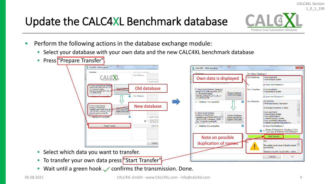# Update the CALC4XL Benchmark database



CALC4XL Version

- Perform the following actions in the database exchange module:
	- Select your database with your own data and the new CALC4XL benchmark database
	- Press "Prepare Transfer"



**E** Wait until a green hook  $\checkmark$  confirms the transmission. Done.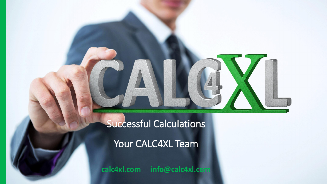# Successful Calculations

Your CALC4XL Team

**calc4xl.com info@calc4xl.com**